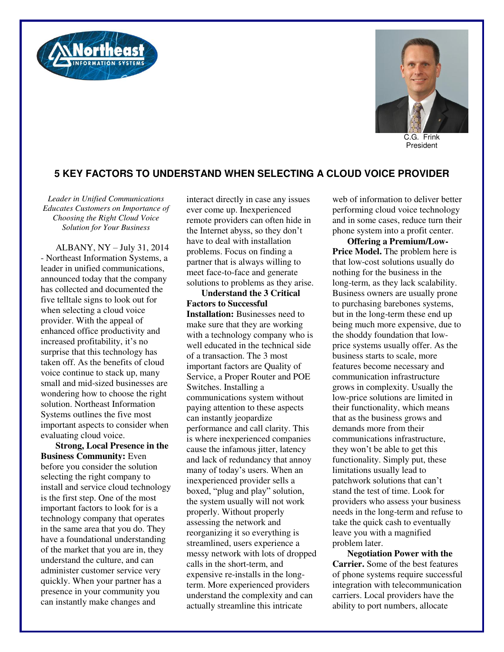



C.G. Frink President

## **5 KEY FACTORS TO UNDERSTAND WHEN SELECTING A CLOUD VOICE PROVIDER**

*Leader in Unified Communications Educates Customers on Importance of Choosing the Right Cloud Voice Solution for Your Business* 

ALBANY, NY – July 31, 2014 - Northeast Information Systems, a leader in unified communications, announced today that the company has collected and documented the five telltale signs to look out for when selecting a cloud voice provider. With the appeal of enhanced office productivity and increased profitability, it's no surprise that this technology has taken off. As the benefits of cloud voice continue to stack up, many small and mid-sized businesses are wondering how to choose the right solution. Northeast Information Systems outlines the five most important aspects to consider when evaluating cloud voice.

**Strong, Local Presence in the Business Community:** Even before you consider the solution selecting the right company to install and service cloud technology is the first step. One of the most important factors to look for is a technology company that operates in the same area that you do. They have a foundational understanding of the market that you are in, they understand the culture, and can administer customer service very quickly. When your partner has a presence in your community you can instantly make changes and

interact directly in case any issues ever come up. Inexperienced remote providers can often hide in the Internet abyss, so they don't have to deal with installation problems. Focus on finding a partner that is always willing to meet face-to-face and generate solutions to problems as they arise.

**Understand the 3 Critical Factors to Successful Installation:** Businesses need to make sure that they are working with a technology company who is well educated in the technical side of a transaction. The 3 most important factors are Quality of Service, a Proper Router and POE Switches. Installing a communications system without paying attention to these aspects can instantly jeopardize performance and call clarity. This is where inexperienced companies cause the infamous jitter, latency and lack of redundancy that annoy many of today's users. When an inexperienced provider sells a boxed, "plug and play" solution, the system usually will not work properly. Without properly assessing the network and reorganizing it so everything is streamlined, users experience a messy network with lots of dropped calls in the short-term, and expensive re-installs in the longterm. More experienced providers understand the complexity and can actually streamline this intricate

web of information to deliver better performing cloud voice technology and in some cases, reduce turn their phone system into a profit center.

**Offering a Premium/Low-Price Model.** The problem here is that low-cost solutions usually do nothing for the business in the long-term, as they lack scalability. Business owners are usually prone to purchasing barebones systems, but in the long-term these end up being much more expensive, due to the shoddy foundation that lowprice systems usually offer. As the business starts to scale, more features become necessary and communication infrastructure grows in complexity. Usually the low-price solutions are limited in their functionality, which means that as the business grows and demands more from their communications infrastructure, they won't be able to get this functionality. Simply put, these limitations usually lead to patchwork solutions that can't stand the test of time. Look for providers who assess your business needs in the long-term and refuse to take the quick cash to eventually leave you with a magnified problem later.

**Negotiation Power with the Carrier.** Some of the best features of phone systems require successful integration with telecommunication carriers. Local providers have the ability to port numbers, allocate